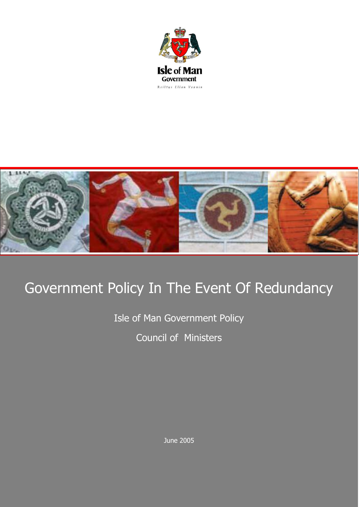



## Government Policy In The Event Of Redundancy

Isle of Man Government Policy Council of Ministers

June 2005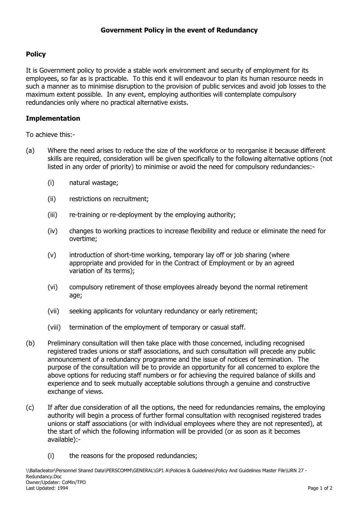## **Policy**

It is Government policy to provide a stable work environment and security of employment for its employees, so far as is practicable. To this end it will endeavour to plan its human resource needs in such a manner as to minimise disruption to the provision of public services and avoid job losses to the maximum extent possible. In any event, employing authorities will contemplate compulsory redundancies only where no practical alternative exists.

## **Implementation**

To achieve this:-

- (a) Where the need arises to reduce the size of the workforce or to reorganise it because different skills are required, consideration will be given specifically to the following alternative options (not listed in any order of priority) to minimise or avoid the need for compulsory redundancies:-
	- (i) natural wastage;
	- (ii) restrictions on recruitment;
	- (iii) re-training or re-deployment by the employing authority;
	- (iv) changes to working practices to increase flexibility and reduce or eliminate the need for overtime;
	- (v) introduction of short-time working, temporary lay off or job sharing (where appropriate and provided for in the Contract of Employment or by an agreed variation of its terms);
	- (vi) compulsory retirement of those employees already beyond the normal retirement age;
	- (vii) seeking applicants for voluntary redundancy or early retirement;
	- (viii) termination of the employment of temporary or casual staff.
- (b) Preliminary consultation will then take place with those concerned, including recognised registered trades unions or staff associations, and such consultation will precede any public announcement of a redundancy programme and the issue of notices of termination. The purpose of the consultation will be to provide an opportunity for all concerned to explore the above options for reducing staff numbers or for achieving the required balance of skills and experience and to seek mutually acceptable solutions through a genuine and constructive exchange of views.
- (c) If after due consideration of all the options, the need for redundancies remains, the employing authority will begin a process of further formal consultation with recognised registered trades unions or staff associations (or with individual employees where they are not represented), at the start of which the following information will be provided (or as soon as it becomes available):-
	- (i) the reasons for the proposed redundancies;